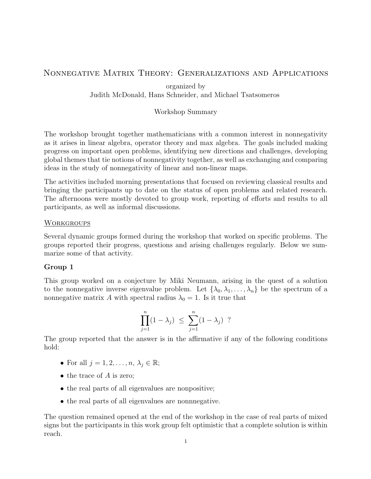# Nonnegative Matrix Theory: Generalizations and Applications

organized by Judith McDonald, Hans Schneider, and Michael Tsatsomeros

## Workshop Summary

The workshop brought together mathematicians with a common interest in nonnegativity as it arises in linear algebra, operator theory and max algebra. The goals included making progress on important open problems, identifying new directions and challenges, developing global themes that tie notions of nonnegativity together, as well as exchanging and comparing ideas in the study of nonnegativity of linear and non-linear maps.

The activities included morning presentations that focused on reviewing classical results and bringing the participants up to date on the status of open problems and related research. The afternoons were mostly devoted to group work, reporting of efforts and results to all participants, as well as informal discussions.

## **WORKGROUPS**

Several dynamic groups formed during the workshop that worked on specific problems. The groups reported their progress, questions and arising challenges regularly. Below we summarize some of that activity.

## Group 1

This group worked on a conjecture by Miki Neumann, arising in the quest of a solution to the nonnegative inverse eigenvalue problem. Let  $\{\lambda_0, \lambda_1, \ldots, \lambda_n\}$  be the spectrum of a nonnegative matrix A with spectral radius  $\lambda_0 = 1$ . Is it true that

$$
\prod_{j=1}^{n} (1 - \lambda_j) \leq \sum_{j=1}^{n} (1 - \lambda_j) ?
$$

The group reported that the answer is in the affirmative if any of the following conditions hold:

- For all  $j = 1, 2, \ldots, n, \lambda_j \in \mathbb{R}$ ;
- $\bullet$  the trace of A is zero;
- the real parts of all eigenvalues are nonpositive;
- the real parts of all eigenvalues are nonnnegative.

The question remained opened at the end of the workshop in the case of real parts of mixed signs but the participants in this work group felt optimistic that a complete solution is within reach.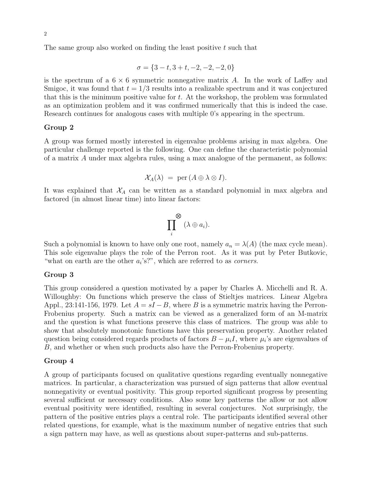The same group also worked on finding the least positive t such that

$$
\sigma = \{3 - t, 3 + t, -2, -2, -2, 0\}
$$

is the spectrum of a  $6 \times 6$  symmetric nonnegative matrix A. In the work of Laffey and Smigoc, it was found that  $t = 1/3$  results into a realizable spectrum and it was conjectured that this is the minimum positive value for  $t$ . At the workshop, the problem was formulated as an optimization problem and it was confirmed numerically that this is indeed the case. Research continues for analogous cases with multiple 0's appearing in the spectrum.

### Group 2

A group was formed mostly interested in eigenvalue problems arising in max algebra. One particular challenge reported is the following. One can define the characteristic polynomial of a matrix A under max algebra rules, using a max analogue of the permanent, as follows:

$$
\mathcal{X}_A(\lambda) \;=\; \mathrm{per}\,(A\oplus\lambda\otimes I).
$$

It was explained that  $X_A$  can be written as a standard polynomial in max algebra and factored (in almost linear time) into linear factors:

$$
\prod_i^{\bigotimes}(\lambda\oplus a_i).
$$

Such a polynomial is known to have only one root, namely  $a_n = \lambda(A)$  (the max cycle mean). This sole eigenvalue plays the role of the Perron root. As it was put by Peter Butkovic, "what on earth are the other  $a_i$ 's?", which are referred to as *corners*.

### Group 3

This group considered a question motivated by a paper by Charles A. Micchelli and R. A. Willoughby: On functions which preserve the class of Stieltjes matrices. Linear Algebra Appl., 23:141-156, 1979. Let  $A = sI - B$ , where B is a symmetric matrix having the Perron-Frobenius property. Such a matrix can be viewed as a generalized form of an M-matrix and the question is what functions preserve this class of matrices. The group was able to show that absolutely monotonic functions have this preservation property. Another related question being considered regards products of factors  $B - \mu_i I$ , where  $\mu_i$ 's are eigenvalues of B, and whether or when such products also have the Perron-Frobenius property.

## Group 4

A group of participants focused on qualitative questions regarding eventually nonnegative matrices. In particular, a characterization was pursued of sign patterns that allow eventual nonnegativity or eventual positivity. This group reported significant progress by presenting several sufficient or necessary conditions. Also some key patterns the allow or not allow eventual positivity were identified, resulting in several conjectures. Not surprisingly, the pattern of the positive entries plays a central role. The participants identified several other related questions, for example, what is the maximum number of negative entries that such a sign pattern may have, as well as questions about super-patterns and sub-patterns.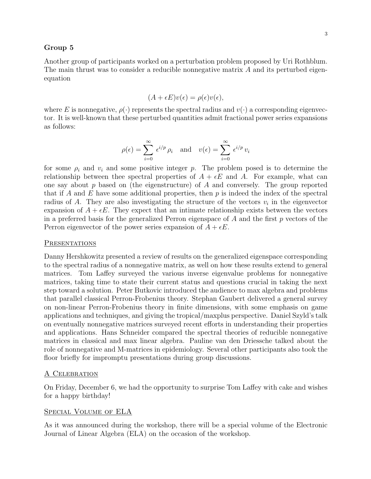### Group 5

Another group of participants worked on a perturbation problem proposed by Uri Rothblum. The main thrust was to consider a reducible nonnegative matrix A and its perturbed eigenequation

$$
(A + \epsilon E)v(\epsilon) = \rho(\epsilon)v(\epsilon),
$$

where E is nonnegative,  $\rho(\cdot)$  represents the spectral radius and  $v(\cdot)$  a corresponding eigenvector. It is well-known that these perturbed quantities admit fractional power series expansions as follows:

$$
\rho(\epsilon) = \sum_{i=0}^{\infty} \epsilon^{i/p} \rho_i \quad \text{and} \quad v(\epsilon) = \sum_{i=0}^{\infty} \epsilon^{i/p} v_i
$$

for some  $\rho_i$  and  $v_i$  and some positive integer p. The problem posed is to determine the relationship between thee spectral properties of  $A + \epsilon E$  and A. For example, what can one say about  $p$  based on (the eigenstructure) of  $A$  and conversely. The group reported that if A and E have some additional properties, then  $p$  is indeed the index of the spectral radius of A. They are also investigating the structure of the vectors  $v_i$  in the eigenvector expansion of  $A + \epsilon E$ . They expect that an intimate relationship exists between the vectors in a preferred basis for the generalized Perron eigenspace of  $A$  and the first  $p$  vectors of the Perron eigenvector of the power series expansion of  $A + \epsilon E$ .

#### **PRESENTATIONS**

Danny Hershkowitz presented a review of results on the generalized eigenspace corresponding to the spectral radius of a nonnegative matrix, as well on how these results extend to general matrices. Tom Laffey surveyed the various inverse eigenvalue problems for nonnegative matrices, taking time to state their current status and questions crucial in taking the next step toward a solution. Peter Butkovic introduced the audience to max algebra and problems that parallel classical Perron-Frobenius theory. Stephan Gaubert delivered a general survey on non-linear Perron-Frobenius theory in finite dimensions, with some emphasis on game applications and techniques, and giving the tropical/maxplus perspective. Daniel Szyld's talk on eventually nonnegative matrices surveyed recent efforts in understanding their properties and applications. Hans Schneider compared the spectral theories of reducible nonnegative matrices in classical and max linear algebra. Pauline van den Driessche talked about the role of nonnegative and M-matrices in epidemiology. Several other participants also took the floor briefly for impromptu presentations during group discussions.

### A Celebration

On Friday, December 6, we had the opportunity to surprise Tom Laffey with cake and wishes for a happy birthday!

#### Special Volume of ELA

As it was announced during the workshop, there will be a special volume of the Electronic Journal of Linear Algebra (ELA) on the occasion of the workshop.